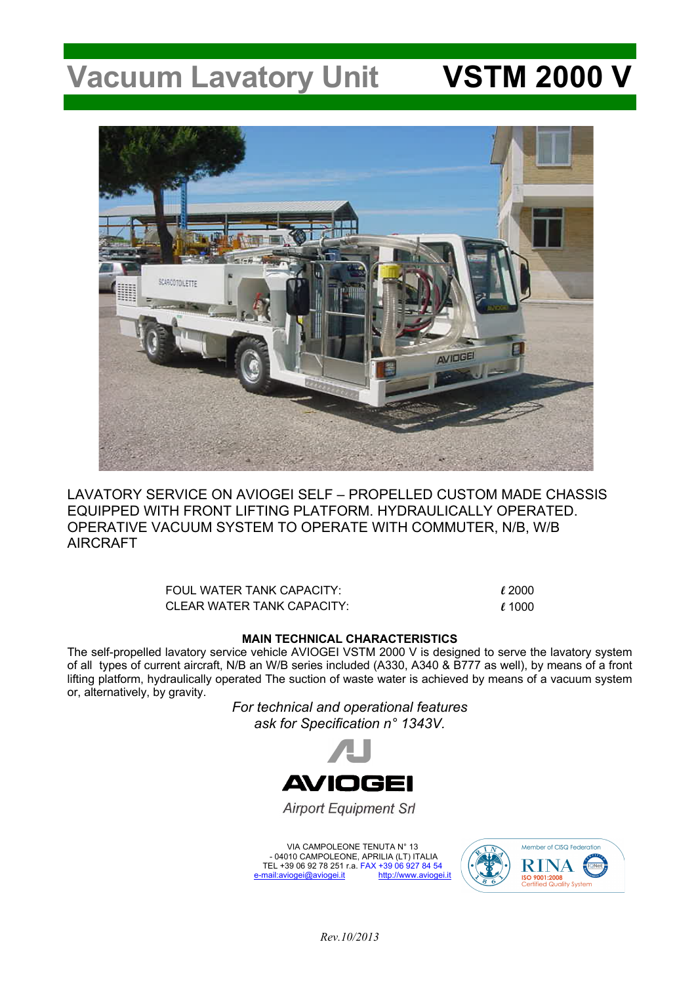## **Vacuum Lavatory Unit VSTM 2000 V**



LAVATORY SERVICE ON AVIOGEI SELF – PROPELLED CUSTOM MADE CHASSIS EQUIPPED WITH FRONT LIFTING PLATFORM. HYDRAULICALLY OPERATED. OPERATIVE VACUUM SYSTEM TO OPERATE WITH COMMUTER, N/B, W/B AIRCRAFT

> FOUL WATER TANK CAPACITY: **l** 2000 CLEAR WATER TANK CAPACITY: **l** 1000

## **MAIN TECHNICAL CHARACTERISTICS**

The self-propelled lavatory service vehicle AVIOGEI VSTM 2000 V is designed to serve the lavatory system of all types of current aircraft, N/B an W/B series included (A330, A340 & B777 as well), by means of a front lifting platform, hydraulically operated The suction of waste water is achieved by means of a vacuum system or, alternatively, by gravity.

> *For technical and operational features ask for Specification n° 1343V.*



**Airport Equipment Srl** 

VIA CAMPOLEONE TENUTA N° 13 - 04010 CAMPOLEONE, APRILIA (LT) ITALIA TEL +39 06 92 78 251 r.a. FAX +39 06 927 84 54<br>mail:aviogei@aviogei it http://www.aviogei it e-mail:aviogei@aviogei.it



*Rev.10/2013*